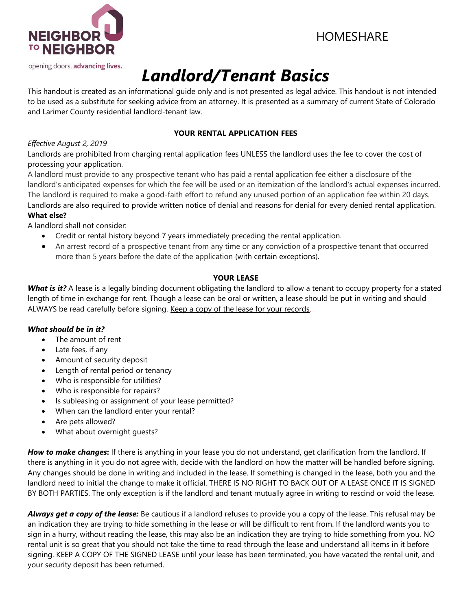

# HOMESHARE

# *Landlord/Tenant Basics*

This handout is created as an informational guide only and is not presented as legal advice. This handout is not intended to be used as a substitute for seeking advice from an attorney. It is presented as a summary of current State of Colorado and Larimer County residential landlord-tenant law.

# **YOUR RENTAL APPLICATION FEES**

# *Effective August 2, 2019*

Landlords are prohibited from charging rental application fees UNLESS the landlord uses the fee to cover the cost of processing your application.

A landlord must provide to any prospective tenant who has paid a rental application fee either a disclosure of the landlord's anticipated expenses for which the fee will be used or an itemization of the landlord's actual expenses incurred. The landlord is required to make a good-faith effort to refund any unused portion of an application fee within 20 days. Landlords are also required to provide written notice of denial and reasons for denial for every denied rental application. **What else?**

A landlord shall not consider:

- Credit or rental history beyond 7 years immediately preceding the rental application.
- An arrest record of a prospective tenant from any time or any conviction of a prospective tenant that occurred more than 5 years before the date of the application (with certain exceptions).

# **YOUR LEASE**

*What is it?* A lease is a legally binding document obligating the landlord to allow a tenant to occupy property for a stated length of time in exchange for rent. Though a lease can be oral or written, a lease should be put in writing and should ALWAYS be read carefully before signing. Keep a copy of the lease for your records.

# *What should be in it?*

- The amount of rent
- Late fees, if any
- Amount of security deposit
- Length of rental period or tenancy
- Who is responsible for utilities?
- Who is responsible for repairs?
- Is subleasing or assignment of your lease permitted?
- When can the landlord enter your rental?
- Are pets allowed?
- What about overnight guests?

*How to make changes***:** If there is anything in your lease you do not understand, get clarification from the landlord. If there is anything in it you do not agree with, decide with the landlord on how the matter will be handled before signing. Any changes should be done in writing and included in the lease. If something is changed in the lease, both you and the landlord need to initial the change to make it official. THERE IS NO RIGHT TO BACK OUT OF A LEASE ONCE IT IS SIGNED BY BOTH PARTIES. The only exception is if the landlord and tenant mutually agree in writing to rescind or void the lease.

*Always get a copy of the lease:* Be cautious if a landlord refuses to provide you a copy of the lease. This refusal may be an indication they are trying to hide something in the lease or will be difficult to rent from. If the landlord wants you to sign in a hurry, without reading the lease, this may also be an indication they are trying to hide something from you. NO rental unit is so great that you should not take the time to read through the lease and understand all items in it before signing. KEEP A COPY OF THE SIGNED LEASE until your lease has been terminated, you have vacated the rental unit, and your security deposit has been returned.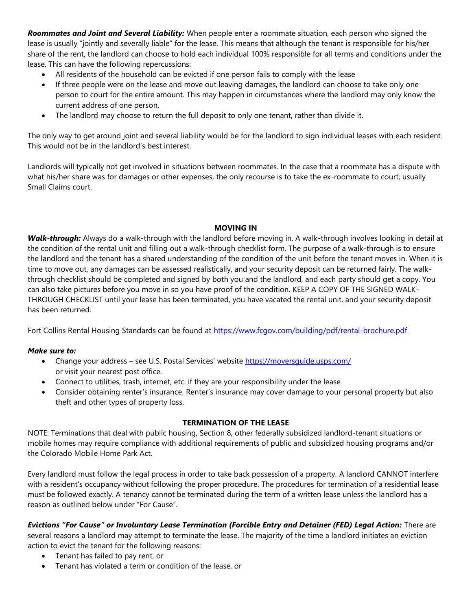*Roommates and Joint and Several Liability:* When people enter a roommate situation, each person who signed the lease is usually "jointly and severally liable" for the lease. This means that although the tenant is responsible for his/her share of the rent, the landlord can choose to hold each individual 100% responsible for all terms and conditions under the lease. This can have the following repercussions:

- All residents of the household can be evicted if one person fails to comply with the lease
- If three people were on the lease and move out leaving damages, the landlord can choose to take only one person to court for the entire amount. This may happen in circumstances where the landlord may only know the current address of one person.
- The landlord may choose to return the full deposit to only one tenant, rather than divide it.

The only way to get around joint and several liability would be for the landlord to sign individual leases with each resident. This would not be in the landlord's best interest.

Landlords will typically not get involved in situations between roommates. In the case that a roommate has a dispute with what his/her share was for damages or other expenses, the only recourse is to take the ex-roommate to court, usually Small Claims court.

#### **MOVING IN**

*Walk-through:* Always do a walk-through with the landlord before moving in. A walk-through involves looking in detail at the condition of the rental unit and filling out a walk-through checklist form. The purpose of a walk-through is to ensure the landlord and the tenant has a shared understanding of the condition of the unit before the tenant moves in. When it is time to move out, any damages can be assessed realistically, and your security deposit can be returned fairly. The walkthrough checklist should be completed and signed by both you and the landlord, and each party should get a copy. You can also take pictures before you move in so you have proof of the condition. KEEP A COPY OF THE SIGNED WALK-THROUGH CHECKLIST until your lease has been terminated, you have vacated the rental unit, and your security deposit has been returned.

Fort Collins Rental Housing Standards can be found at<https://www.fcgov.com/building/pdf/rental-brochure.pdf>

#### *Make sure to:*

- Change your address see U.S. Postal Services' website <https://moversguide.usps.com/> or visit your nearest post office.
- Connect to utilities, trash, internet, etc. if they are your responsibility under the lease
- Consider obtaining renter's insurance. Renter's insurance may cover damage to your personal property but also theft and other types of property loss.

#### **TERMINATION OF THE LEASE**

NOTE: Terminations that deal with public housing, Section 8, other federally subsidized landlord-tenant situations or mobile homes may require compliance with additional requirements of public and subsidized housing programs and/or the Colorado Mobile Home Park Act.

Every landlord must follow the legal process in order to take back possession of a property. A landlord CANNOT interfere with a resident's occupancy without following the proper procedure. The procedures for termination of a residential lease must be followed exactly. A tenancy cannot be terminated during the term of a written lease unless the landlord has a reason as outlined below under "For Cause".

*Evictions "For Cause" or Involuntary Lease Termination (Forcible Entry and Detainer (FED) Legal Action:* There are several reasons a landlord may attempt to terminate the lease. The majority of the time a landlord initiates an eviction action to evict the tenant for the following reasons:

- Tenant has failed to pay rent, or
- Tenant has violated a term or condition of the lease, or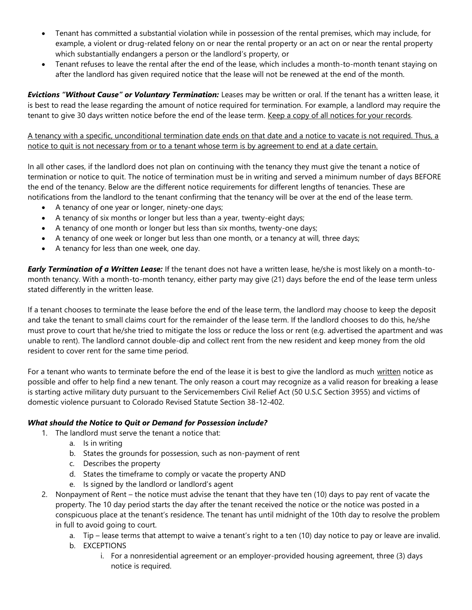- Tenant has committed a substantial violation while in possession of the rental premises, which may include, for example, a violent or drug-related felony on or near the rental property or an act on or near the rental property which substantially endangers a person or the landlord's property, or
- Tenant refuses to leave the rental after the end of the lease, which includes a month-to-month tenant staying on after the landlord has given required notice that the lease will not be renewed at the end of the month.

*Evictions "Without Cause" or Voluntary Termination:* Leases may be written or oral. If the tenant has a written lease, it is best to read the lease regarding the amount of notice required for termination. For example, a landlord may require the tenant to give 30 days written notice before the end of the lease term. Keep a copy of all notices for your records.

A tenancy with a specific, unconditional termination date ends on that date and a notice to vacate is not required. Thus, a notice to quit is not necessary from or to a tenant whose term is by agreement to end at a date certain.

In all other cases, if the landlord does not plan on continuing with the tenancy they must give the tenant a notice of termination or notice to quit. The notice of termination must be in writing and served a minimum number of days BEFORE the end of the tenancy. Below are the different notice requirements for different lengths of tenancies. These are notifications from the landlord to the tenant confirming that the tenancy will be over at the end of the lease term.

- A tenancy of one year or longer, ninety-one days;
- A tenancy of six months or longer but less than a year, twenty-eight days;
- A tenancy of one month or longer but less than six months, twenty-one days;
- A tenancy of one week or longer but less than one month, or a tenancy at will, three days;
- A tenancy for less than one week, one day.

*Early Termination of a Written Lease:* If the tenant does not have a written lease, he/she is most likely on a month-tomonth tenancy. With a month-to-month tenancy, either party may give (21) days before the end of the lease term unless stated differently in the written lease.

If a tenant chooses to terminate the lease before the end of the lease term, the landlord may choose to keep the deposit and take the tenant to small claims court for the remainder of the lease term. If the landlord chooses to do this, he/she must prove to court that he/she tried to mitigate the loss or reduce the loss or rent (e.g. advertised the apartment and was unable to rent). The landlord cannot double-dip and collect rent from the new resident and keep money from the old resident to cover rent for the same time period.

For a tenant who wants to terminate before the end of the lease it is best to give the landlord as much written notice as possible and offer to help find a new tenant. The only reason a court may recognize as a valid reason for breaking a lease is starting active military duty pursuant to the Servicemembers Civil Relief Act (50 U.S.C Section 3955) and victims of domestic violence pursuant to Colorado Revised Statute Section 38-12-402.

#### *What should the Notice to Quit or Demand for Possession include?*

- 1. The landlord must serve the tenant a notice that:
	- a. Is in writing
	- b. States the grounds for possession, such as non-payment of rent
	- c. Describes the property
	- d. States the timeframe to comply or vacate the property AND
	- e. Is signed by the landlord or landlord's agent
- 2. Nonpayment of Rent the notice must advise the tenant that they have ten (10) days to pay rent of vacate the property. The 10 day period starts the day after the tenant received the notice or the notice was posted in a conspicuous place at the tenant's residence. The tenant has until midnight of the 10th day to resolve the problem in full to avoid going to court.
	- a. Tip lease terms that attempt to waive a tenant's right to a ten (10) day notice to pay or leave are invalid.
	- b. EXCEPTIONS
		- i. For a nonresidential agreement or an employer-provided housing agreement, three (3) days notice is required.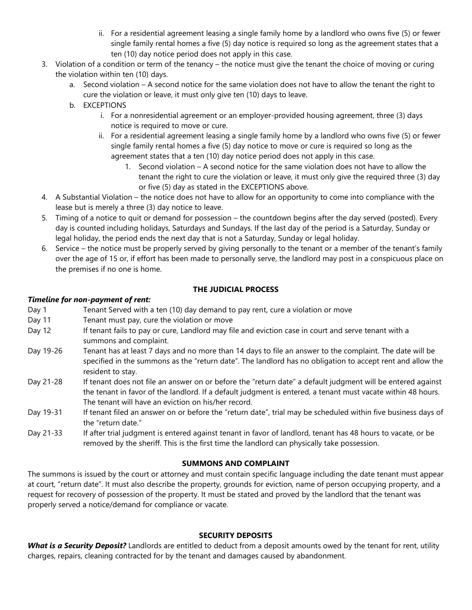- ii. For a residential agreement leasing a single family home by a landlord who owns five (5) or fewer single family rental homes a five (5) day notice is required so long as the agreement states that a ten (10) day notice period does not apply in this case.
- 3. Violation of a condition or term of the tenancy the notice must give the tenant the choice of moving or curing the violation within ten (10) days.
	- a. Second violation A second notice for the same violation does not have to allow the tenant the right to cure the violation or leave, it must only give ten (10) days to leave.
	- b. EXCEPTIONS
		- i. For a nonresidential agreement or an employer-provided housing agreement, three (3) days notice is required to move or cure.
		- ii. For a residential agreement leasing a single family home by a landlord who owns five (5) or fewer single family rental homes a five (5) day notice to move or cure is required so long as the agreement states that a ten (10) day notice period does not apply in this case.
			- 1. Second violation A second notice for the same violation does not have to allow the tenant the right to cure the violation or leave, it must only give the required three (3) day or five (5) day as stated in the EXCEPTIONS above.
- 4. A Substantial Violation the notice does not have to allow for an opportunity to come into compliance with the lease but is merely a three (3) day notice to leave.
- 5. Timing of a notice to quit or demand for possession the countdown begins after the day served (posted). Every day is counted including holidays, Saturdays and Sundays. If the last day of the period is a Saturday, Sunday or legal holiday, the period ends the next day that is not a Saturday, Sunday or legal holiday.
- 6. Service the notice must be properly served by giving personally to the tenant or a member of the tenant's family over the age of 15 or, if effort has been made to personally serve, the landlord may post in a conspicuous place on the premises if no one is home.

# **THE JUDICIAL PROCESS**

#### *Timeline for non-payment of rent:*

| <i>runeture</i> for non-payment of rent. |                                                                                                                                                                                                                                                                                    |
|------------------------------------------|------------------------------------------------------------------------------------------------------------------------------------------------------------------------------------------------------------------------------------------------------------------------------------|
| Day 1                                    | Tenant Served with a ten (10) day demand to pay rent, cure a violation or move                                                                                                                                                                                                     |
| Day 11                                   | Tenant must pay, cure the violation or move                                                                                                                                                                                                                                        |
| Day 12                                   | If tenant fails to pay or cure, Landlord may file and eviction case in court and serve tenant with a<br>summons and complaint.                                                                                                                                                     |
| Day 19-26                                | Tenant has at least 7 days and no more than 14 days to file an answer to the complaint. The date will be<br>specified in the summons as the "return date". The landlord has no obligation to accept rent and allow the<br>resident to stay.                                        |
| Day 21-28                                | If tenant does not file an answer on or before the "return date" a default judgment will be entered against<br>the tenant in favor of the landlord. If a default judgment is entered, a tenant must vacate within 48 hours.<br>The tenant will have an eviction on his/her record. |
| Day 19-31                                | If tenant filed an answer on or before the "return date", trial may be scheduled within five business days of<br>the "return date."                                                                                                                                                |
| Day 21-33                                | If after trial judgment is entered against tenant in favor of landlord, tenant has 48 hours to vacate, or be<br>removed by the sheriff. This is the first time the landlord can physically take possession.                                                                        |

# **SUMMONS AND COMPLAINT**

The summons is issued by the court or attorney and must contain specific language including the date tenant must appear at court, "return date". It must also describe the property, grounds for eviction, name of person occupying property, and a request for recovery of possession of the property. It must be stated and proved by the landlord that the tenant was properly served a notice/demand for compliance or vacate.

# **SECURITY DEPOSITS**

*What is a Security Deposit?* Landlords are entitled to deduct from a deposit amounts owed by the tenant for rent, utility charges, repairs, cleaning contracted for by the tenant and damages caused by abandonment.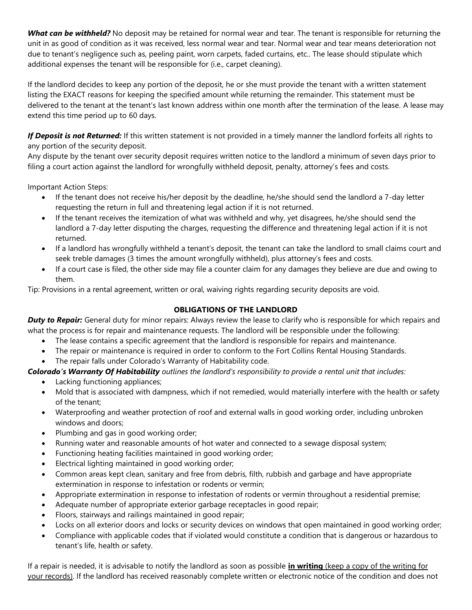*What can be withheld?* No deposit may be retained for normal wear and tear. The tenant is responsible for returning the unit in as good of condition as it was received, less normal wear and tear. Normal wear and tear means deterioration not due to tenant's negligence such as, peeling paint, worn carpets, faded curtains, etc.. The lease should stipulate which additional expenses the tenant will be responsible for (i.e., carpet cleaning).

If the landlord decides to keep any portion of the deposit, he or she must provide the tenant with a written statement listing the EXACT reasons for keeping the specified amount while returning the remainder. This statement must be delivered to the tenant at the tenant's last known address within one month after the termination of the lease. A lease may extend this time period up to 60 days.

*If Deposit is not Returned:* If this written statement is not provided in a timely manner the landlord forfeits all rights to any portion of the security deposit.

Any dispute by the tenant over security deposit requires written notice to the landlord a minimum of seven days prior to filing a court action against the landlord for wrongfully withheld deposit, penalty, attorney's fees and costs.

Important Action Steps:

- If the tenant does not receive his/her deposit by the deadline, he/she should send the landlord a 7-day letter requesting the return in full and threatening legal action if it is not returned.
- If the tenant receives the itemization of what was withheld and why, yet disagrees, he/she should send the landlord a 7-day letter disputing the charges, requesting the difference and threatening legal action if it is not returned.
- If a landlord has wrongfully withheld a tenant's deposit, the tenant can take the landlord to small claims court and seek treble damages (3 times the amount wrongfully withheld), plus attorney's fees and costs.
- If a court case is filed, the other side may file a counter claim for any damages they believe are due and owing to them.

Tip: Provisions in a rental agreement, written or oral, waiving rights regarding security deposits are void.

# **OBLIGATIONS OF THE LANDLORD**

*Duty to Repair:* General duty for minor repairs: Always review the lease to clarify who is responsible for which repairs and what the process is for repair and maintenance requests. The landlord will be responsible under the following:

- The lease contains a specific agreement that the landlord is responsible for repairs and maintenance.
- The repair or maintenance is required in order to conform to the Fort Collins Rental Housing Standards.
- The repair falls under Colorado's Warranty of Habitability code.

*Colorado's Warranty Of Habitability outlines the landlord's responsibility to provide a rental unit that includes:*

- Lacking functioning appliances;
- Mold that is associated with dampness, which if not remedied, would materially interfere with the health or safety of the tenant;
- Waterproofing and weather protection of roof and external walls in good working order, including unbroken windows and doors;
- Plumbing and gas in good working order;
- Running water and reasonable amounts of hot water and connected to a sewage disposal system;
- Functioning heating facilities maintained in good working order;
- Electrical lighting maintained in good working order;
- Common areas kept clean, sanitary and free from debris, filth, rubbish and garbage and have appropriate extermination in response to infestation or rodents or vermin;
- Appropriate extermination in response to infestation of rodents or vermin throughout a residential premise;
- Adequate number of appropriate exterior garbage receptacles in good repair;
- Floors, stairways and railings maintained in good repair;
- Locks on all exterior doors and locks or security devices on windows that open maintained in good working order;
- Compliance with applicable codes that if violated would constitute a condition that is dangerous or hazardous to tenant's life, health or safety.

If a repair is needed, it is advisable to notify the landlord as soon as possible **in writing** (keep a copy of the writing for your records). If the landlord has received reasonably complete written or electronic notice of the condition and does not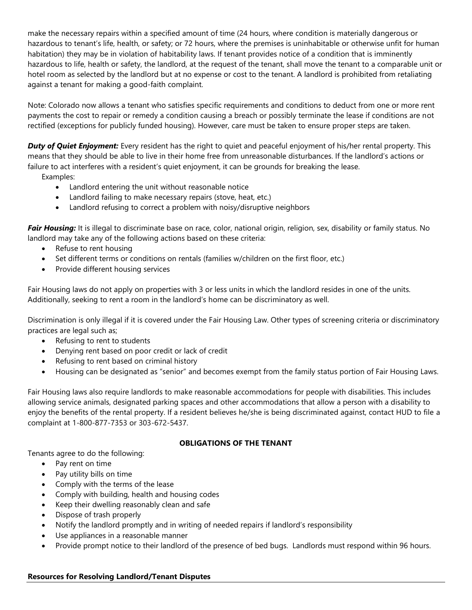make the necessary repairs within a specified amount of time (24 hours, where condition is materially dangerous or hazardous to tenant's life, health, or safety; or 72 hours, where the premises is uninhabitable or otherwise unfit for human habitation) they may be in violation of habitability laws. If tenant provides notice of a condition that is imminently hazardous to life, health or safety, the landlord, at the request of the tenant, shall move the tenant to a comparable unit or hotel room as selected by the landlord but at no expense or cost to the tenant. A landlord is prohibited from retaliating against a tenant for making a good-faith complaint.

Note: Colorado now allows a tenant who satisfies specific requirements and conditions to deduct from one or more rent payments the cost to repair or remedy a condition causing a breach or possibly terminate the lease if conditions are not rectified (exceptions for publicly funded housing). However, care must be taken to ensure proper steps are taken.

*Duty of Quiet Enjoyment:* Every resident has the right to quiet and peaceful enjoyment of his/her rental property. This means that they should be able to live in their home free from unreasonable disturbances. If the landlord's actions or failure to act interferes with a resident's quiet enjoyment, it can be grounds for breaking the lease.

Examples:

- Landlord entering the unit without reasonable notice
- Landlord failing to make necessary repairs (stove, heat, etc.)
- Landlord refusing to correct a problem with noisy/disruptive neighbors

*Fair Housing:* It is illegal to discriminate base on race, color, national origin, religion, sex, disability or family status. No landlord may take any of the following actions based on these criteria:

- Refuse to rent housing
- Set different terms or conditions on rentals (families w/children on the first floor, etc.)
- Provide different housing services

Fair Housing laws do not apply on properties with 3 or less units in which the landlord resides in one of the units. Additionally, seeking to rent a room in the landlord's home can be discriminatory as well.

Discrimination is only illegal if it is covered under the Fair Housing Law. Other types of screening criteria or discriminatory practices are legal such as;

- Refusing to rent to students
- Denying rent based on poor credit or lack of credit
- Refusing to rent based on criminal history
- Housing can be designated as "senior" and becomes exempt from the family status portion of Fair Housing Laws.

Fair Housing laws also require landlords to make reasonable accommodations for people with disabilities. This includes allowing service animals, designated parking spaces and other accommodations that allow a person with a disability to enjoy the benefits of the rental property. If a resident believes he/she is being discriminated against, contact HUD to file a complaint at 1-800-877-7353 or 303-672-5437.

# **OBLIGATIONS OF THE TENANT**

Tenants agree to do the following:

- Pay rent on time
- Pay utility bills on time
- Comply with the terms of the lease
- Comply with building, health and housing codes
- Keep their dwelling reasonably clean and safe
- Dispose of trash properly
- Notify the landlord promptly and in writing of needed repairs if landlord's responsibility
- Use appliances in a reasonable manner
- Provide prompt notice to their landlord of the presence of bed bugs. Landlords must respond within 96 hours.

#### **Resources for Resolving Landlord/Tenant Disputes**